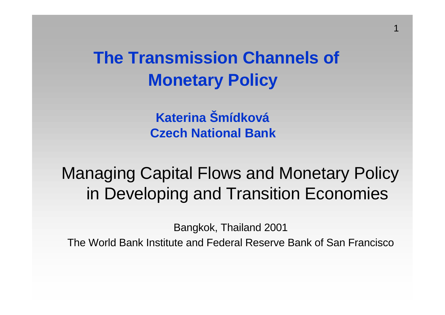**The Transmission Channels of Monetary Policy**

1

**Katerina Šmídková Czech National Bank**

Managing Capital Flows and Monetary Policy in Developing and Transition Economies

Bangkok, Thailand 2001

The World Bank Institute and Federal Reserve Bank of San Francisco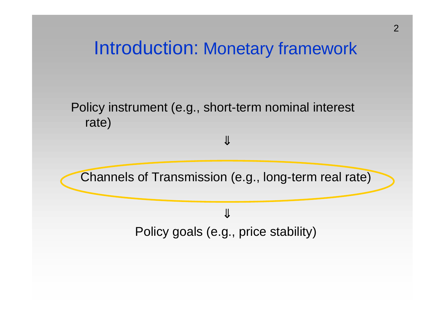## Introduction: Monetary framework

#### Policy instrument (e.g., short-term nominal interest rate)



⇓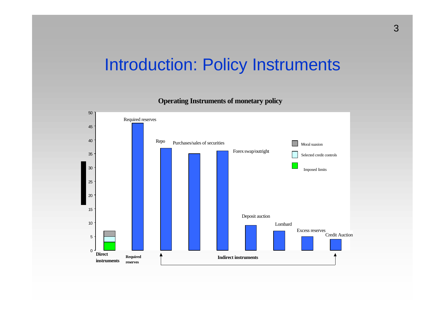#### Introduction: Policy Instruments

**Operating Instruments of monetary policy**

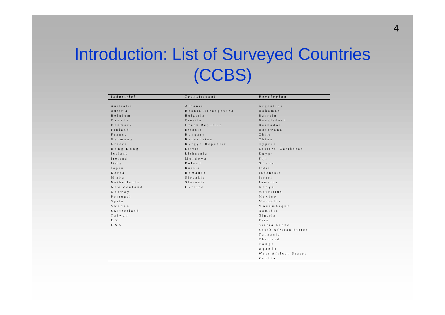### Introduction: List of Surveyed Countries (CCBS)

| Industrial  | Transitional       | $D$ e v e l o p i n g |
|-------------|--------------------|-----------------------|
|             |                    |                       |
| Australia   | Albania            | Argentina             |
| Austria     | Bosnia Herzegovina | B a h a m a s         |
| Belgium     | Bulgaria           | Bahrain               |
| Canada      | Croatia            | Bangladesh            |
| $D$ enmark  | Czech Republic     | <b>Barbados</b>       |
| Finland     | Estonia            | <b>Botswana</b>       |
| France      | Hungary            | $C$ h i $1e$          |
| Germany     | Kazakhstan         | China                 |
| Greece      | Kyrgyz Republic    | C y p r u s           |
| Hong Kong   | Latvia             | Eastern Caribbean     |
| Iceland     | Lithuania          | Egypt                 |
| Ireland     | Moldova            | Fiji                  |
| Italy       | Poland             | Ghana                 |
| Japan       | Russia             | India                 |
| Korea       | Romania            | Indonesia             |
| M alta      | Slovakia           | Israel                |
| Netherlands | Slovenia           | Jamaica               |
| New Zealand | Ukraine            | K e n y a             |
| Norway      |                    | Mauritius             |
| Portugal    |                    | Mexico                |
| Spain       |                    | Mongolia              |
| Sweden      |                    | Mozambique            |
| Switzerland |                    | Namibia               |
| Taiwan      |                    | Nigeria               |
| U K         |                    | Peru                  |
| U S A       |                    | Sierra Leone          |
|             |                    | South African States  |
|             |                    | Tanzania              |
|             |                    | Thailand              |
|             |                    | Tonga                 |
|             |                    | Uganda                |
|             |                    | West African States   |
|             |                    | Zambia                |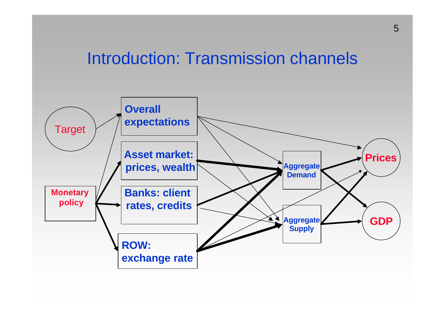#### Introduction: Transmission channels

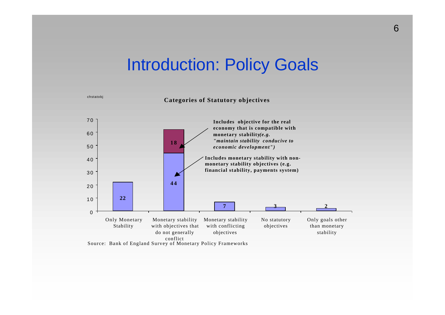#### Introduction: Policy Goals

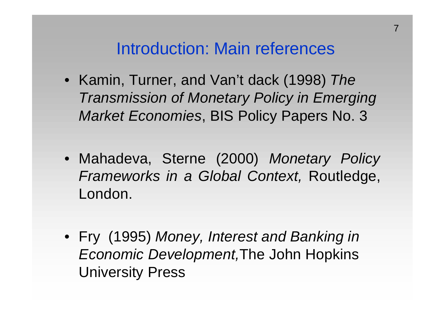#### Introduction: Main references

7

- Kamin, Turner, and Van't dack (1998) *The Transmission of Monetary Policy in Emerging Market Economies*, BIS Policy Papers No. 3
- Mahadeva, Sterne (2000) *Monetary Policy Frameworks in a Global Context,* Routledge, London.
- Fry (1995) *Money, Interest and Banking in Economic Development,*The John Hopkins University Press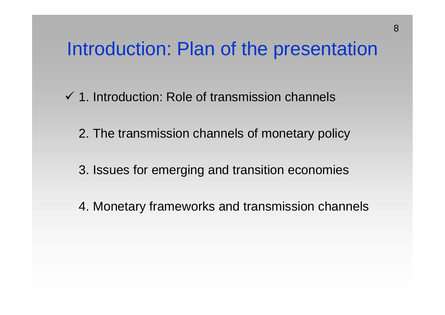## Introduction: Plan of the presentation

- $\checkmark$  1. Introduction: Role of transmission channels
	- 2. The transmission channels of monetary policy
	- 3. Issues for emerging and transition economies
	- 4. Monetary frameworks and transmission channels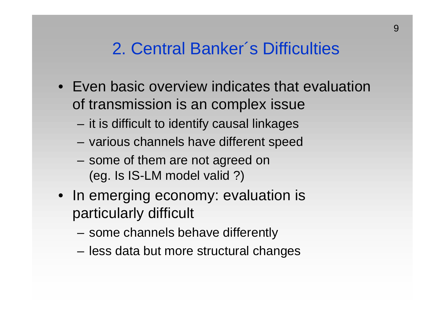### 2. Central Banker´s Difficulties

- Even basic overview indicates that evaluation of transmission is an complex issue
	- it is difficult to identify causal linkages
	- various channels have different speed
	- some of them are not agreed on (eg. Is IS-LM model valid ?)
- In emerging economy: evaluation is particularly difficult
	- some channels behave differently
	- less data but more structural changes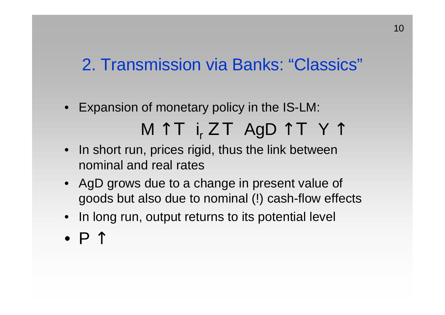#### 2. Transmission via Banks: "Classics"

- Expansion of monetary policy in the IS-LM: M ↑ Τ i<sup>r</sup> Ζ Τ AgD ↑ Τ Y ↑
- In short run, prices rigid, thus the link between nominal and real rates
- AgD grows due to a change in present value of goods but also due to nominal (!) cash-flow effects
- In long run, output returns to its potential level
- $\bullet$  P  $\uparrow$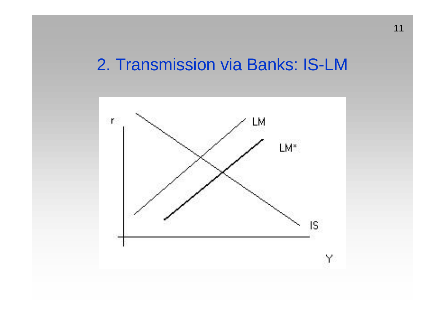#### 2. Transmission via Banks: IS-LM

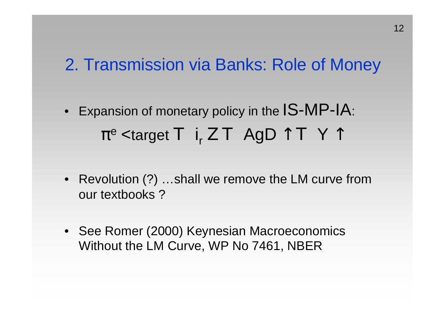#### 2. Transmission via Banks: Role of Money

- Expansion of monetary policy in the IS-MP-IA:  $\pi^\text{e}$  <target T  $\,$  i<sub>r</sub>  $Z$  T  $\,$  AgD  $\uparrow$  T  $\,$  Y  $\uparrow$
- Revolution (?) ...shall we remove the LM curve from our textbooks ?
- See Romer (2000) Keynesian Macroeconomics Without the LM Curve, WP No 7461, NBER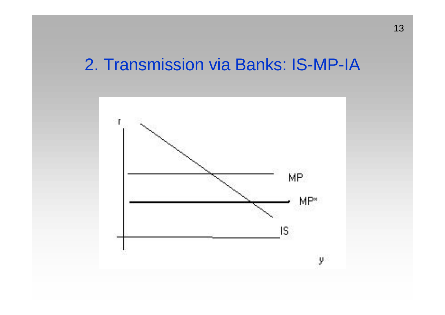#### 2. Transmission via Banks: IS-MP-IA

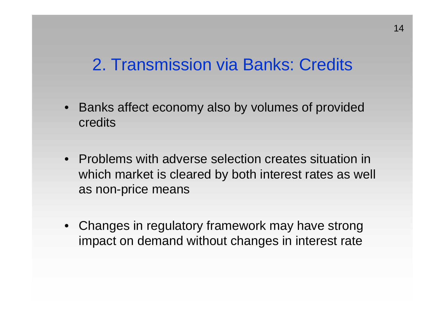#### 2. Transmission via Banks: Credits

- Banks affect economy also by volumes of provided credits
- Problems with adverse selection creates situation in which market is cleared by both interest rates as well as non-price means
- Changes in regulatory framework may have strong impact on demand without changes in interest rate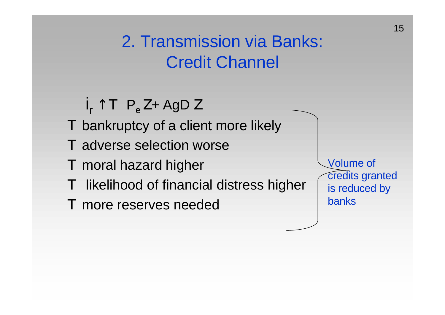2. Transmission via Banks: Credit Channel

- $i_r \uparrow T$  P<sub>e</sub> Z+ AgD Z
- Τ bankruptcy of a client more likely
- Τ adverse selection worse
- Τ moral hazard higher
- Τ likelihood of financial distress higher
- Τ more reserves needed

Volume of credits granted is reduced by banks

15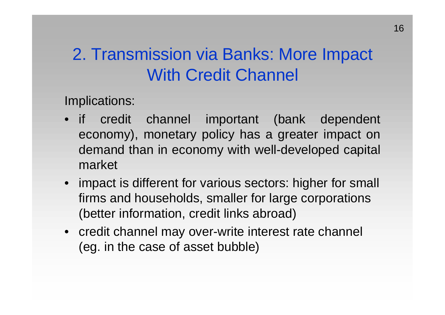### 2. Transmission via Banks: More Impact With Credit Channel

Implications:

- if credit channel important (bank dependent economy), monetary policy has a greater impact on demand than in economy with well-developed capital market
- impact is different for various sectors: higher for small firms and households, smaller for large corporations (better information, credit links abroad)
- credit channel may over-write interest rate channel (eg. in the case of asset bubble)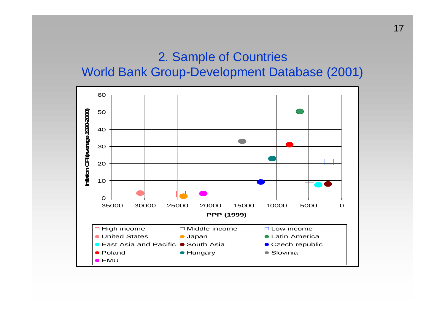#### 2. Sample of Countries World Bank Group-Development Database (2001)

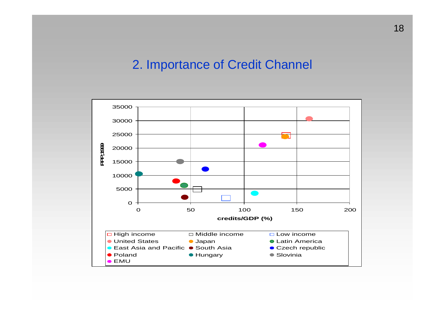#### 2. Importance of Credit Channel

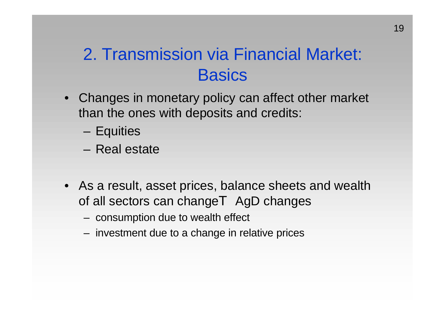### 2. Transmission via Financial Market: **Basics**

- Changes in monetary policy can affect other market than the ones with deposits and credits:
	- Equities
	- Real estate
- As a result, asset prices, balance sheets and wealth of all sectors can changeT AgD changes
	- consumption due to wealth effect
	- investment due to a change in relative prices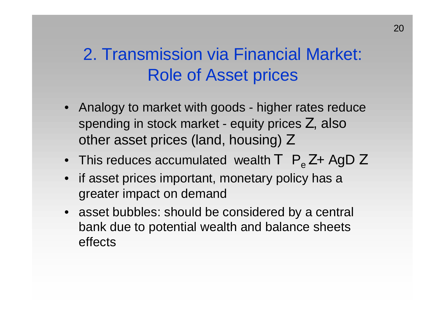### 2. Transmission via Financial Market: Role of Asset prices

- Analogy to market with goods higher rates reduce spending in stock market - equity prices Z, also other asset prices (land, housing) Ζ
- This reduces accumulated wealth  $T$   $P_{\alpha}Z + AgD Z$
- if asset prices important, monetary policy has a greater impact on demand
- asset bubbles: should be considered by a central bank due to potential wealth and balance sheets effects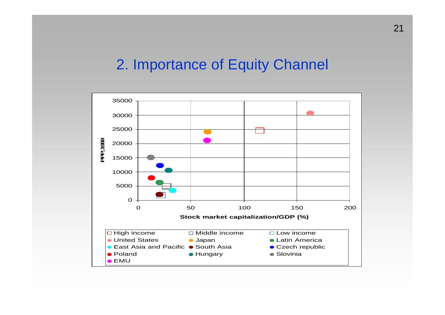#### 2. Importance of Equity Channel

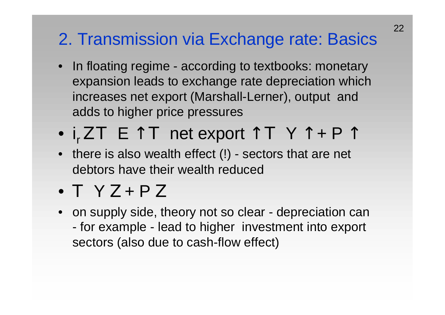### 2. Transmission via Exchange rate: Basics

- In floating regime according to textbooks: monetary expansion leads to exchange rate depreciation which increases net export (Marshall-Lerner), output and adds to higher price pressures
- $i_r Z T \in \uparrow T$  net export  $\uparrow T$  Y  $\uparrow$  + P  $\uparrow$
- there is also wealth effect (!) sectors that are net debtors have their wealth reduced
- Τ Y Ζ + P Ζ
- on supply side, theory not so clear depreciation can - for example - lead to higher investment into export sectors (also due to cash-flow effect)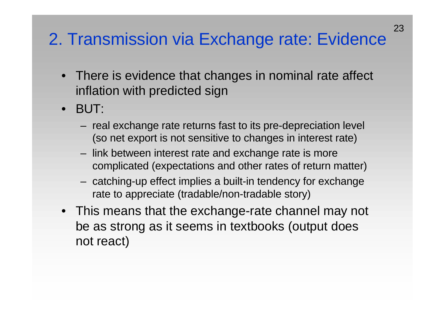### 2. Transmission via Exchange rate: Evidence

- There is evidence that changes in nominal rate affect inflation with predicted sign
- BUT:
	- real exchange rate returns fast to its pre-depreciation level (so net export is not sensitive to changes in interest rate)
	- link between interest rate and exchange rate is more complicated (expectations and other rates of return matter)
	- catching-up effect implies a built-in tendency for exchange rate to appreciate (tradable/non-tradable story)
- This means that the exchange-rate channel may not be as strong as it seems in textbooks (output does not react)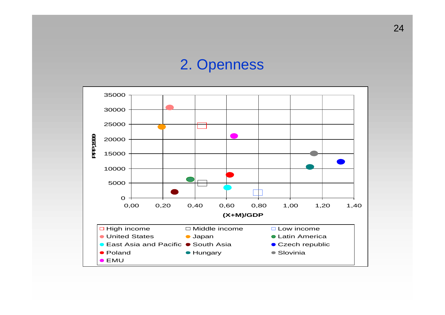#### 2. Openness

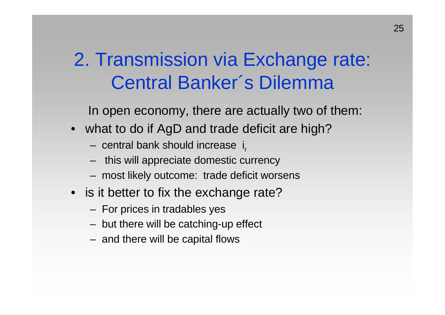2. Transmission via Exchange rate: Central Banker´s Dilemma

In open economy, there are actually two of them:

- what to do if AgD and trade deficit are high?
	- central bank should increase i<sub>r</sub>
	- this will appreciate domestic currency
	- most likely outcome: trade deficit worsens
- is it better to fix the exchange rate?
	- For prices in tradables yes
	- but there will be catching-up effect
	- and there will be capital flows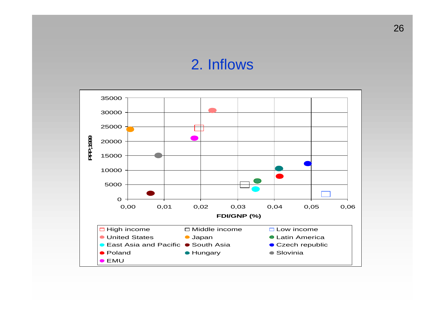#### 2. Inflows

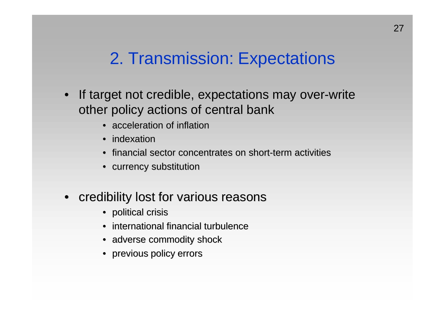### 2. Transmission: Expectations

- If target not credible, expectations may over-write other policy actions of central bank
	- acceleration of inflation
	- indexation
	- financial sector concentrates on short-term activities
	- currency substitution
- credibility lost for various reasons
	- political crisis
	- international financial turbulence
	- adverse commodity shock
	- previous policy errors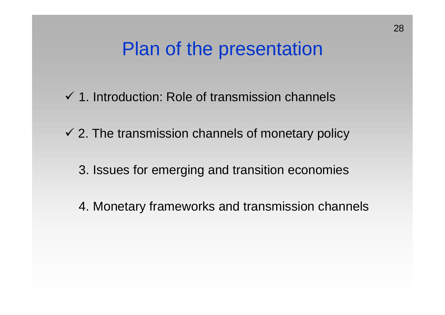## Plan of the presentation

- $\checkmark$  1. Introduction: Role of transmission channels
- $\checkmark$  2. The transmission channels of monetary policy
	- 3. Issues for emerging and transition economies
	- 4. Monetary frameworks and transmission channels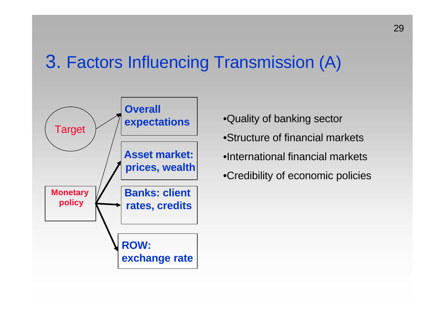## 3. Factors Influencing Transmission (A)



- •Quality of banking sector
- •Structure of financial markets
- •International financial markets
- •Credibility of economic policies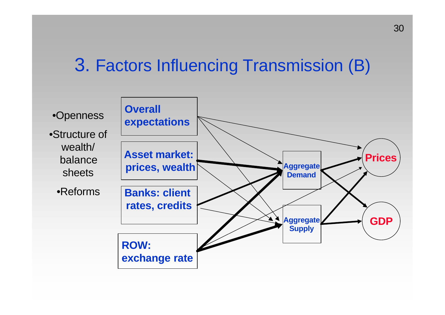### 3. Factors Influencing Transmission (B)

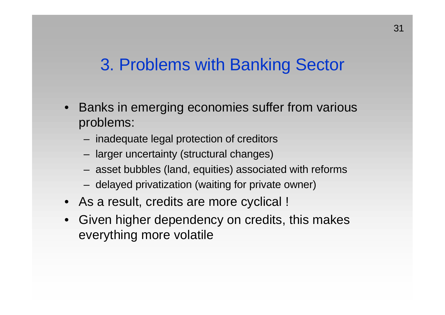#### 3. Problems with Banking Sector

- Banks in emerging economies suffer from various problems:
	- inadequate legal protection of creditors
	- larger uncertainty (structural changes)
	- asset bubbles (land, equities) associated with reforms
	- delayed privatization (waiting for private owner)
- As a result, credits are more cyclical !
- Given higher dependency on credits, this makes everything more volatile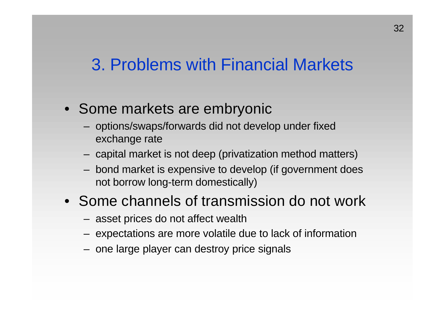#### 3. Problems with Financial Markets

- Some markets are embryonic
	- options/swaps/forwards did not develop under fixed exchange rate
	- capital market is not deep (privatization method matters)
	- bond market is expensive to develop (if government does not borrow long-term domestically)
- Some channels of transmission do not work
	- asset prices do not affect wealth
	- expectations are more volatile due to lack of information
	- one large player can destroy price signals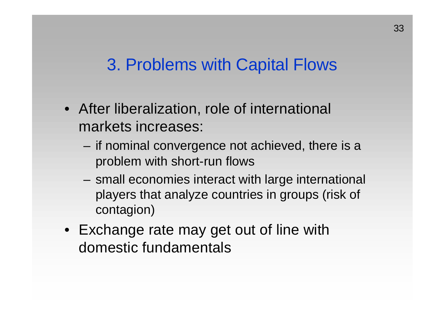#### 3. Problems with Capital Flows

- After liberalization, role of international markets increases:
	- if nominal convergence not achieved, there is a problem with short-run flows
	- small economies interact with large international players that analyze countries in groups (risk of contagion)
- Exchange rate may get out of line with domestic fundamentals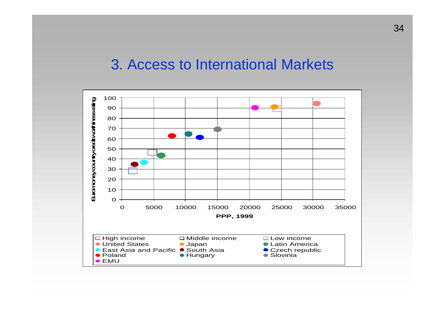#### 3. Access to International Markets

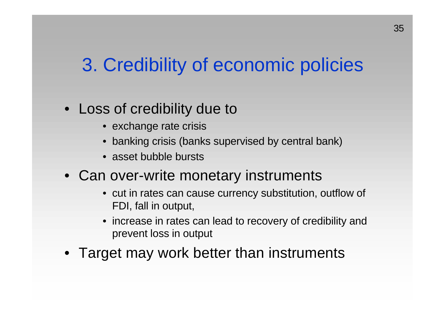# 3. Credibility of economic policies

#### • Loss of credibility due to

- exchange rate crisis
- banking crisis (banks supervised by central bank)
- asset bubble bursts
- Can over-write monetary instruments
	- cut in rates can cause currency substitution, outflow of FDI, fall in output,
	- increase in rates can lead to recovery of credibility and prevent loss in output
- Target may work better than instruments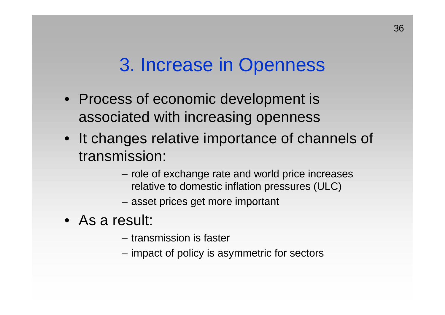## 3. Increase in Openness

- Process of economic development is associated with increasing openness
- It changes relative importance of channels of transmission:
	- role of exchange rate and world price increases relative to domestic inflation pressures (ULC)
	- asset prices get more important
- As a result:
	- transmission is faster
	- impact of policy is asymmetric for sectors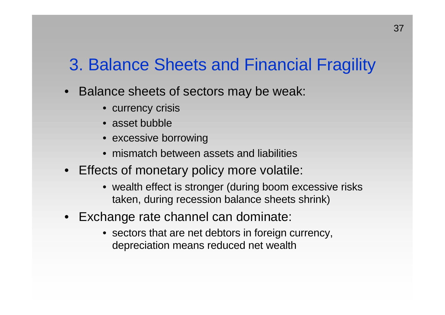#### 3. Balance Sheets and Financial Fragility

- Balance sheets of sectors may be weak:
	- currency crisis
	- asset bubble
	- excessive borrowing
	- mismatch between assets and liabilities
- Effects of monetary policy more volatile:
	- wealth effect is stronger (during boom excessive risks taken, during recession balance sheets shrink)
- Exchange rate channel can dominate:
	- sectors that are net debtors in foreign currency, depreciation means reduced net wealth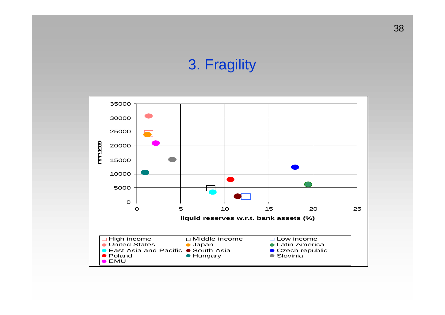#### 3. Fragility

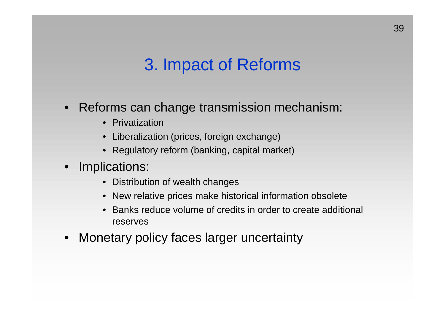### 3. Impact of Reforms

- Reforms can change transmission mechanism:
	- Privatization
	- Liberalization (prices, foreign exchange)
	- Regulatory reform (banking, capital market)
- Implications:
	- Distribution of wealth changes
	- New relative prices make historical information obsolete
	- Banks reduce volume of credits in order to create additional reserves
- Monetary policy faces larger uncertainty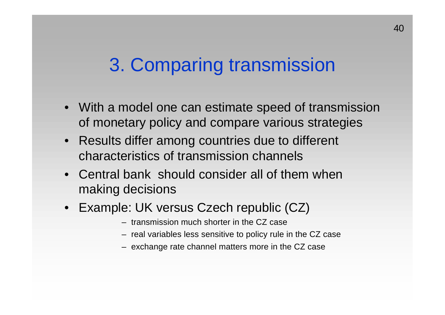## 3. Comparing transmission

- With a model one can estimate speed of transmission of monetary policy and compare various strategies
- Results differ among countries due to different characteristics of transmission channels
- Central bank should consider all of them when making decisions
- Example: UK versus Czech republic (CZ)
	- transmission much shorter in the CZ case
	- real variables less sensitive to policy rule in the CZ case
	- exchange rate channel matters more in the CZ case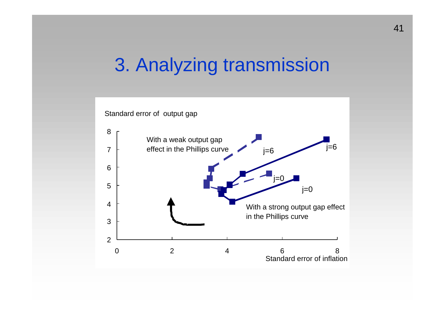## 3. Analyzing transmission

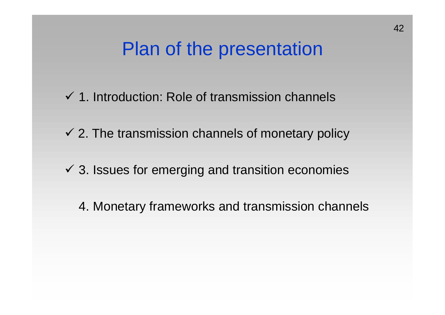## Plan of the presentation

- $\checkmark$  1. Introduction: Role of transmission channels
- $\checkmark$  2. The transmission channels of monetary policy
- $\checkmark$  3. Issues for emerging and transition economies
	- 4. Monetary frameworks and transmission channels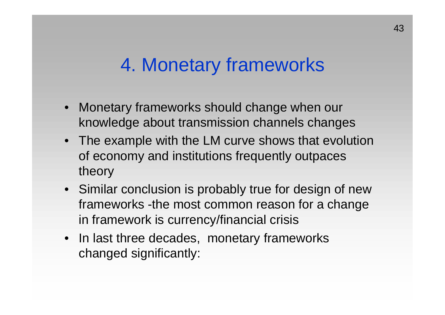## 4. Monetary frameworks

- Monetary frameworks should change when our knowledge about transmission channels changes
- The example with the LM curve shows that evolution of economy and institutions frequently outpaces theory
- Similar conclusion is probably true for design of new frameworks -the most common reason for a change in framework is currency/financial crisis
- In last three decades, monetary frameworks changed significantly: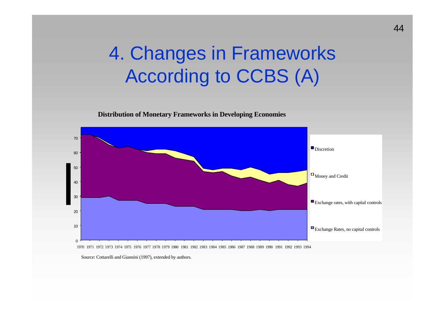# 4. Changes in Frameworks According to CCBS (A)

**Distribution of Monetary Frameworks in Developing Economies**



1970 1971 1972 1973 1974 1975 1976 1977 1978 1979 1980 1981 1982 1983 1984 1985 1986 1987 1988 1989 1990 1991 1992 1993 1994

Source: Cottarelli and Giannini (1997), extended by authors.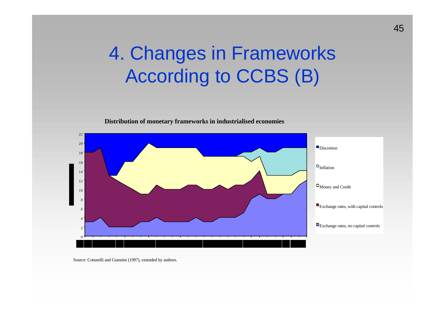# 4. Changes in Frameworks According to CCBS (B)





Source: Cottarelli and Giannini (1997), extended by authors.